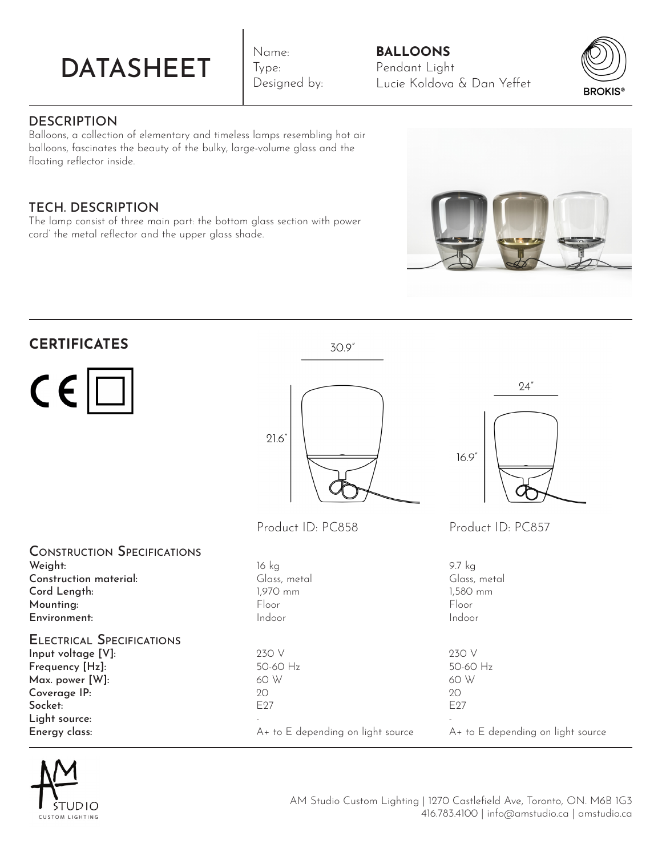# DATASHEET

Name: Type: Designed by:

# **BALLOONS** Pendant Light Lucie Koldova & Dan Yeffet



# **DESCRIPTION**

Balloons, a collection of elementary and timeless lamps resembling hot air balloons, fascinates the beauty of the bulky, large-volume glass and the floating reflector inside.

# TECH. DESCRIPTION

The lamp consist of three main part: the bottom glass section with power cord' the metal reflector and the upper glass shade.



| <b>CERTIFICATES</b>                                                                                                                                       | 30.9"                                                                                   |                                                                             |
|-----------------------------------------------------------------------------------------------------------------------------------------------------------|-----------------------------------------------------------------------------------------|-----------------------------------------------------------------------------|
| $C \in  C $                                                                                                                                               | 21.6'                                                                                   | 24"<br>16.9''                                                               |
|                                                                                                                                                           | Product ID: PC858                                                                       | Product ID: PC857                                                           |
| <b>CONSTRUCTION SPECIFICATIONS</b><br>Weight:<br>Construction material:<br>Cord Length:<br>Mounting:<br>Environment:                                      | 16 kg<br>Glass, metal<br>1,970 mm<br>Floor<br>Indoor                                    | 9.7 kg<br>Glass, metal<br>1,580 mm<br>Floor<br>Indoor                       |
| <b>ELECTRICAL SPECIFICATIONS</b><br>Input voltage [V]:<br>Frequency [Hz]:<br>Max. power [W]:<br>Coverage IP:<br>Socket:<br>Light source:<br>Energy class: | 230 V<br>50-60 Hz<br>60 W<br>20<br>E <sub>27</sub><br>A+ to E depending on light source | 230 V<br>50-60 Hz<br>60 W<br>20<br>E27<br>A+ to E depending on light source |



AM Studio Custom Lighting | 1270 Castlefield Ave, Toronto, ON. M6B 1G3 416.783.4100 | info@amstudio.ca | amstudio.ca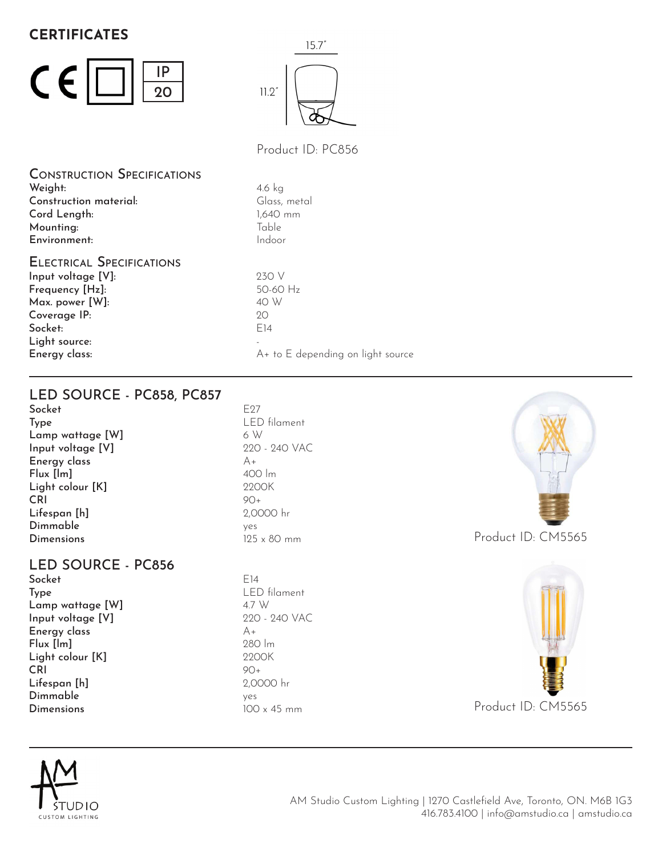# **CERTIFICATES**





Product ID: PC856

4.6 kg Glass, metal

Construction Specifications Weight: Construction material: Cord Length: Mounting: Environment:

Electrical Specifications Input voltage [V]: Frequency [Hz]: Max. power [W]: Coverage IP: Socket: Light source: Energy class:

1,640 mm Table Indoor 230 V 50-60 Hz 40 W  $20^{\circ}$ E14 - A+ to E depending on light source

LED SOURCE - PC858, PC857

Socket Type Lamp wattage [W] Input voltage [V] Energy class Flux [lm] Light colour [K] CRI Lifespan [h] Dimmable **Dimensions** 

## LED SOURCE - PC856

Socket Type Lamp wattage [W] Input voltage [V] Energy class Flux [lm] Light colour [K] CRI Lifespan [h] Dimmable Dimensions

F<sub>27</sub> LED filament 6 W 220 - 240 VAC  $A_{+}$ 400 lm 2200K  $90+$ 2,0000 hr yes 125 x 80 mm

 $F14$ LED filament 4.7 W 220 - 240 VAC  $A_{+}$ 280 lm 2200K 90+ 2,0000 hr yes 100 x 45 mm







AM Studio Custom Lighting | 1270 Castlefield Ave, Toronto, ON. M6B 1G3 416.783.4100 | info@amstudio.ca | amstudio.ca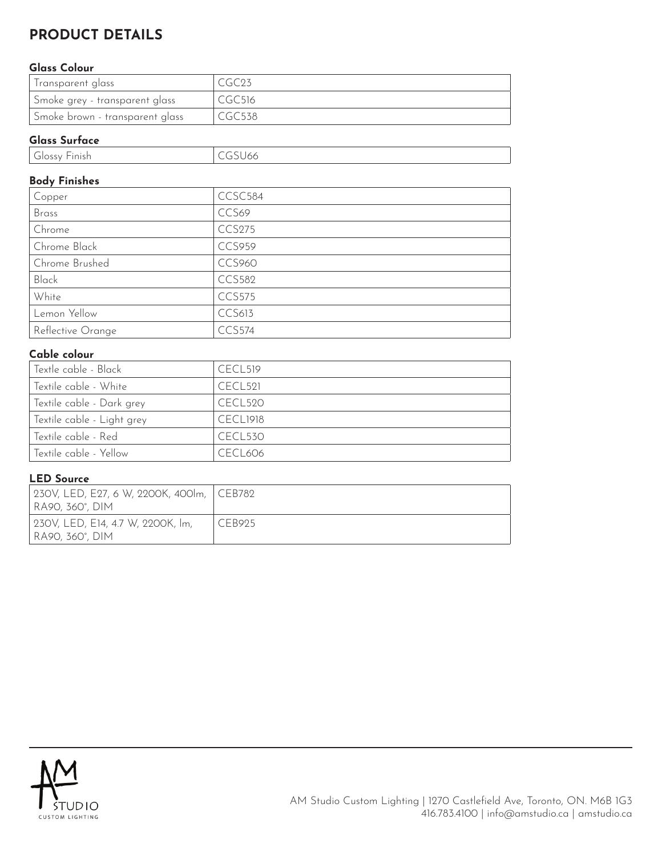# **PRODUCT DETAILS**

#### **Glass Colour**

| Iransparent glass               |                    |
|---------------------------------|--------------------|
| Smoke grey - transparent glass  | CGC <sub>516</sub> |
| Smoke brown - transparent glass | CGC538             |

#### **Glass Surface**

| $\sim$<br>a consumeration of the consumer<br><b>Finish</b><br><b>POST</b> |  |
|---------------------------------------------------------------------------|--|
|                                                                           |  |

### **Body Finishes**

| Copper            | CCSC584       |
|-------------------|---------------|
| Brass             | CCS69         |
| Chrome            | <b>CCS275</b> |
| Chrome Black      | <b>CCS959</b> |
| Chrome Brushed    | <b>CCS960</b> |
| Black             | <b>CCS582</b> |
| White             | <b>CCS575</b> |
| Lemon Yellow      | <b>CCS613</b> |
| Reflective Orange | CCS574        |

## **Cable colour**

| Textle cable - Black       | CECL <sub>519</sub> |
|----------------------------|---------------------|
| Textile cable - White      | CECL <sub>521</sub> |
| Textile cable - Dark grey  | CECL520             |
| Textile cable - Light grey | CECL1918            |
| Textile cable - Red        | CECL <sub>530</sub> |
| Textile cable - Yellow     | CECL606             |

#### **LED Source**

| 230V, LED, E27, 6 W, 2200K, 400lm, CEB782<br>  RA90, 360°, DIM |        |
|----------------------------------------------------------------|--------|
| 230V, LED, E14, 4.7 W, 2200K, Im,<br>  RA90, 360°, DIM         | CEB925 |